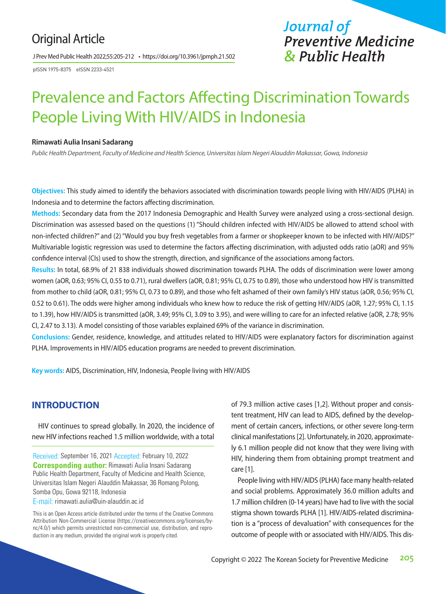# Original Article

J Prev Med Public Health 2022;55:205-212 • https://doi.org/10.3961/jpmph.21.502

pISSN 1975-8375 eISSN 2233-4521

# *Journal of Preventive Medicine & Public Health*

# Prevalence and Factors Affecting Discrimination Towards People Living With HIV/AIDS in Indonesia

#### **Rimawati Aulia Insani Sadarang**

*Public Health Department, Faculty of Medicine and Health Science, Universitas Islam Negeri Alauddin Makassar, Gowa, Indonesia*

**Objectives:** This study aimed to identify the behaviors associated with discrimination towards people living with HIV/AIDS (PLHA) in Indonesia and to determine the factors affecting discrimination.

**Methods:** Secondary data from the 2017 Indonesia Demographic and Health Survey were analyzed using a cross-sectional design. Discrimination was assessed based on the questions (1) "Should children infected with HIV/AIDS be allowed to attend school with non-infected children?" and (2) "Would you buy fresh vegetables from a farmer or shopkeeper known to be infected with HIV/AIDS?" Multivariable logistic regression was used to determine the factors affecting discrimination, with adjusted odds ratio (aOR) and 95% confidence interval (CIs) used to show the strength, direction, and significance of the associations among factors.

**Results:** In total, 68.9% of 21 838 individuals showed discrimination towards PLHA. The odds of discrimination were lower among women (aOR, 0.63; 95% CI, 0.55 to 0.71), rural dwellers (aOR, 0.81; 95% CI, 0.75 to 0.89), those who understood how HIV is transmitted from mother to child (aOR, 0.81; 95% CI, 0.73 to 0.89), and those who felt ashamed of their own family's HIV status (aOR, 0.56; 95% CI, 0.52 to 0.61). The odds were higher among individuals who knew how to reduce the risk of getting HIV/AIDS (aOR, 1.27; 95% CI, 1.15 to 1.39), how HIV/AIDS is transmitted (aOR, 3.49; 95% CI, 3.09 to 3.95), and were willing to care for an infected relative (aOR, 2.78; 95% CI, 2.47 to 3.13). A model consisting of those variables explained 69% of the variance in discrimination.

**Conclusions:** Gender, residence, knowledge, and attitudes related to HIV/AIDS were explanatory factors for discrimination against PLHA. Improvements in HIV/AIDS education programs are needed to prevent discrimination.

**Key words:** AIDS, Discrimination, HIV, Indonesia, People living with HIV/AIDS

# **INTRODUCTION**

HIV continues to spread globally. In 2020, the incidence of new HIV infections reached 1.5 million worldwide, with a total

Received: September 16, 2021 Accepted: February 10, 2022 **Corresponding author:** Rimawati Aulia Insani Sadarang Public Health Department, Faculty of Medicine and Health Science, Universitas Islam Negeri Alauddin Makassar, 36 Romang Polong, Somba Opu, Gowa 92118, Indonesia

E-mail: rimawati.aulia@uin-alauddin.ac.id

This is an Open Access article distributed under the terms of the Creative Commons Attribution Non-Commercial License (https://creativecommons.org/licenses/bync/4.0/) which permits unrestricted non-commercial use, distribution, and reproduction in any medium, provided the original work is properly cited.

of 79.3 million active cases [1,2]. Without proper and consistent treatment, HIV can lead to AIDS, defined by the development of certain cancers, infections, or other severe long-term clinical manifestations [2]. Unfortunately, in 2020, approximately 6.1 million people did not know that they were living with HIV, hindering them from obtaining prompt treatment and care [1].

People living with HIV/AIDS (PLHA) face many health-related and social problems. Approximately 36.0 million adults and 1.7 million children (0-14 years) have had to live with the social stigma shown towards PLHA [1]. HIV/AIDS-related discrimination is a "process of devaluation" with consequences for the outcome of people with or associated with HIV/AIDS. This dis-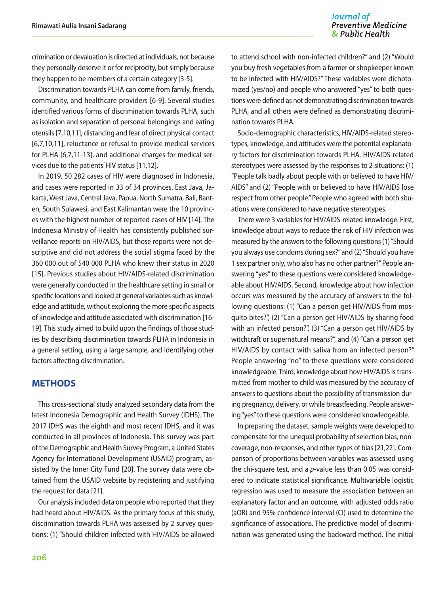#### Journal of **Preventive Medicine** & Public Health

crimination or devaluation is directed at individuals, not because they personally deserve it or for reciprocity, but simply because they happen to be members of a certain category [3-5].

Discrimination towards PLHA can come from family, friends, community, and healthcare providers [6-9]. Several studies identified various forms of discrimination towards PLHA, such as isolation and separation of personal belongings and eating utensils [7,10,11], distancing and fear of direct physical contact [6,7,10,11], reluctance or refusal to provide medical services for PLHA [6,7,11-13], and additional charges for medical services due to the patients' HIV status [11,12].

In 2019, 50 282 cases of HIV were diagnosed in Indonesia, and cases were reported in 33 of 34 provinces. East Java, Jakarta, West Java, Central Java, Papua, North Sumatra, Bali, Banten, South Sulawesi, and East Kalimantan were the 10 provinces with the highest number of reported cases of HIV [14]. The Indonesia Ministry of Health has consistently published surveillance reports on HIV/AIDS, but those reports were not descriptive and did not address the social stigma faced by the 360 000 out of 540 000 PLHA who knew their status in 2020 [15]. Previous studies about HIV/AIDS-related discrimination were generally conducted in the healthcare setting in small or specific locations and looked at general variables such as knowledge and attitude, without exploring the more specific aspects of knowledge and attitude associated with discrimination [16- 19]. This study aimed to build upon the findings of those studies by describing discrimination towards PLHA in Indonesia in a general setting, using a large sample, and identifying other factors affecting discrimination.

## **METHODS**

This cross-sectional study analyzed secondary data from the latest Indonesia Demographic and Health Survey (IDHS). The 2017 IDHS was the eighth and most recent IDHS, and it was conducted in all provinces of Indonesia. This survey was part of the Demographic and Health Survey Program, a United States Agency for International Development (USAID) program, assisted by the Inner City Fund [20]. The survey data were obtained from the USAID website by registering and justifying the request for data [21].

Our analysis included data on people who reported that they had heard about HIV/AIDS. As the primary focus of this study, discrimination towards PLHA was assessed by 2 survey questions: (1) "Should children infected with HIV/AIDS be allowed

to attend school with non-infected children?" and (2) "Would you buy fresh vegetables from a farmer or shopkeeper known to be infected with HIV/AIDS?" These variables were dichotomized (yes/no) and people who answered "yes" to both questions were defined as not demonstrating discrimination towards PLHA, and all others were defined as demonstrating discrimination towards PLHA.

Socio-demographic characteristics, HIV/AIDS-related stereotypes, knowledge, and attitudes were the potential explanatory factors for discrimination towards PLHA. HIV/AIDS-related stereotypes were assessed by the responses to 2 situations: (1) "People talk badly about people with or believed to have HIV/ AIDS" and (2) "People with or believed to have HIV/AIDS lose respect from other people." People who agreed with both situations were considered to have negative stereotypes.

There were 3 variables for HIV/AIDS-related knowledge. First, knowledge about ways to reduce the risk of HIV infection was measured by the answers to the following questions (1) "Should you always use condoms during sex?" and (2) "Should you have 1 sex partner only, who also has no other partner?" People answering "yes" to these questions were considered knowledgeable about HIV/AIDS. Second, knowledge about how infection occurs was measured by the accuracy of answers to the following questions: (1) "Can a person get HIV/AIDS from mosquito bites?", (2) "Can a person get HIV/AIDS by sharing food with an infected person?", (3) "Can a person get HIV/AIDS by witchcraft or supernatural means?", and (4) "Can a person get HIV/AIDS by contact with saliva from an infected person?" People answering "no" to these questions were considered knowledgeable. Third, knowledge about how HIV/AIDS is transmitted from mother to child was measured by the accuracy of answers to questions about the possibility of transmission during pregnancy, delivery, or while breastfeeding. People answering "yes" to these questions were considered knowledgeable.

In preparing the dataset, sample weights were developed to compensate for the unequal probability of selection bias, noncoverage, non-responses, and other types of bias [21,22]. Comparison of proportions between variables was assessed using the chi-square test, and a *p*-value less than 0.05 was considered to indicate statistical significance. Multivariable logistic regression was used to measure the association between an explanatory factor and an outcome, with adjusted odds ratio (aOR) and 95% confidence interval (CI) used to determine the significance of associations. The predictive model of discrimination was generated using the backward method. The initial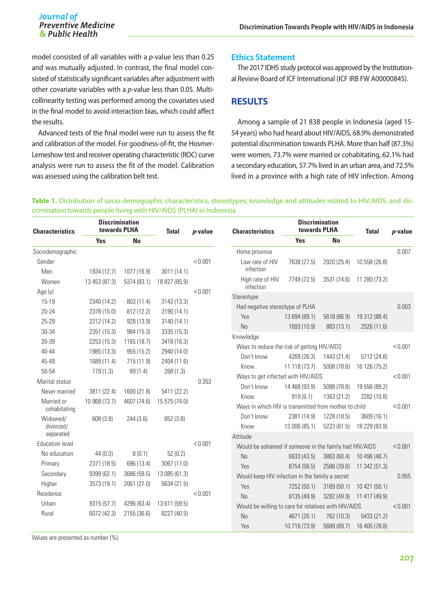model consisted of all variables with a *p*-value less than 0.25 and was mutually adjusted. In contrast, the final model consisted of statistically significant variables after adjustment with other covariate variables with a *p*-value less than 0.05. Multicollinearity testing was performed among the covariates used in the final model to avoid interaction bias, which could affect the results.

Advanced tests of the final model were run to assess the fit and calibration of the model. For goodness-of-fit, the Hosmer-Lemeshow test and receiver operating characteristic (ROC) curve analysis were run to assess the fit of the model. Calibration was assessed using the calibration belt test.

#### **Ethics Statement**

The 2017 IDHS study protocol was approved by the Institutional Review Board of ICF International (ICF IRB FW A00000845).

## **RESULTS**

Among a sample of 21 838 people in Indonesia (aged 15- 54 years) who had heard about HIV/AIDS, 68.9% demonstrated potential discrimination towards PLHA. More than half (87.3%) were women, 73.7% were married or cohabitating, 62.1% had a secondary education, 57.7% lived in an urban area, and 72.5% lived in a province with a high rate of HIV infection. Among

#### **Table 1.** Distribution of socio-demographic characteristics, stereotypes, knowledge and attitudes related to HIV/AIDS, and discrimination towards people living with HIV/AIDS (PLHA) in Indonesia

| <b>Characteristics</b>     | <b>Discrimination</b><br>towards PLHA |             | <b>Total</b>  | $p$ -value                                  | <b>Characteristics</b>                                                              | <b>Discrimination</b><br>towards PLHA |             | <b>Total</b>  | <i>p</i> -value |
|----------------------------|---------------------------------------|-------------|---------------|---------------------------------------------|-------------------------------------------------------------------------------------|---------------------------------------|-------------|---------------|-----------------|
|                            | <b>Yes</b>                            | <b>No</b>   |               |                                             |                                                                                     | <b>Yes</b>                            | <b>No</b>   |               |                 |
| Sociodemographic           |                                       |             |               |                                             | Home province                                                                       |                                       |             |               | 0.007           |
| Gender<br>Men              | 1934 (12.7)                           | 1077 (16.9) | 3011 (14.1)   | < 0.001                                     | Low rate of HIV<br>infection                                                        | 7638 (27.5)                           | 2920 (25.4) | 10 558 (26.8) |                 |
| Women                      | 13 453 (87.3)                         | 5374 (83.1) | 18 827 (85.9) |                                             | High rate of HIV<br>infection                                                       | 7749 (72.5)                           | 3531 (74.6) | 11 280 (73.2) |                 |
| Age (y)                    |                                       |             |               | < 0.001                                     | Stereotype                                                                          |                                       |             |               |                 |
| $15 - 19$                  | 2340 (14.2)                           | 803 (11.4)  | 3143 (13.3)   |                                             | Had negative stereotype of PLHA                                                     |                                       | 0.003       |               |                 |
| 20-24                      | 2378 (15.0)                           | 812 (12.2)  | 3190 (14.1)   |                                             | Yes                                                                                 | 13 694 (89.1)                         | 5618 (86.9) | 19 312 (88.4) |                 |
| 25-29                      | 2212 (14.2)                           | 928 (13.9)  | 3140 (14.1)   |                                             | No                                                                                  | 1693 (10.9)                           | 883 (13.1)  | 2526 (11.6)   |                 |
| 30-34                      | 2351 (15.3)                           | 984 (15.3)  | 3335 (15.3)   |                                             | Knowledge                                                                           |                                       |             |               |                 |
| 35-39                      | 2253 (15.3)                           | 1165 (18.7) | 3418 (16.3)   | Ways to reduce the risk of getting HIV/AIDS |                                                                                     |                                       |             | < 0.001       |                 |
| 40-44                      | 1985 (13.3)                           | 955 (15.2)  | 2940 (14.0)   |                                             | Don't know                                                                          | 4269 (26.3)                           | 1443 (21.4) | 5712 (24.8)   |                 |
| 45-49                      | 1689 (11.4)                           | 715 (11.9)  | 2404 (11.6)   |                                             | Know                                                                                | 11 118 (73.7)                         | 5008 (78.6) | 16 126 (75.2) |                 |
| 50-54                      | 179(1.3)                              | 89 (1.4)    | 268 (1.3)     |                                             | Ways to get infected with HIV/AIDS                                                  |                                       |             |               | < 0.001         |
| Marital status             |                                       |             |               | 0.353                                       | Don't know                                                                          | 14 468 (93.9)                         | 5088 (78.8) | 19 556 (89.2) |                 |
| Never married              | 3811 (22.4)                           | 1600 (21.8) | 5411 (22.2)   |                                             | Know                                                                                | 919(6.1)                              |             |               |                 |
| Married or<br>cohabitating | 10 968 (73.7)                         | 4607 (74.6) | 15 575 (74.0) |                                             | 1363 (21.2)<br>2282 (10.8)<br>Ways in which HIV is transmitted from mother to child |                                       |             | < 0.001       |                 |
| Widowed/                   | 608(3.9)                              | 244 (3.6)   | 852 (3.8)     |                                             | Don't know                                                                          | 2381 (14.9)                           | 1228 (18.5) | 3609 (16.1)   |                 |
| divorced/                  |                                       |             |               |                                             | Know                                                                                | 13 006 (85.1)                         | 5223 (81.5) | 18 229 (83.9) |                 |
| separated                  |                                       |             |               |                                             | Attitude                                                                            |                                       |             |               |                 |
| <b>Education level</b>     |                                       |             |               | < 0.001                                     | Would be ashamed if someone in the family had HIV/AIDS                              |                                       |             | < 0.001       |                 |
| No education               | 44(0.3)                               | 8(0.1)      | 52(0.2)       |                                             | N <sub>o</sub>                                                                      | 6633 (43.5)                           | 3863 (60.4) | 10 496 (48.7) |                 |
| Primary                    | 2371 (18.5)                           | 696 (13.4)  | 3067 (17.0)   |                                             | Yes                                                                                 | 8754 (56.5)                           | 2588 (39.6) | 11 342 (51.3) |                 |
| Secondary                  | 9399 (62.1)                           | 3686 (59.5) | 13 085 (61.3) |                                             | Would keep HIV infection in the family a secret                                     |                                       |             |               | 0.955           |
| Higher                     | 3573 (19.1)                           | 2061 (27.0) | 5634 (21.5)   |                                             | Yes                                                                                 | 7252 (50.1)                           | 3169 (50.1) | 10 421 (50.1) |                 |
| Residence                  |                                       |             |               | < 0.001                                     | N <sub>o</sub>                                                                      | 8135 (49.9)                           | 3282 (49.9) | 11 417 (49.9) |                 |
| Urban                      | 9315 (57.7)                           | 4296 (63.4) | 13 611 (59.5) |                                             | Would be willing to care for relatives with HIV/AIDS                                |                                       |             | < 0.001       |                 |
| Rural                      | 6072 (42.3)                           | 2155 (36.6) | 8227 (40.5)   |                                             | N <sub>o</sub>                                                                      | 4671 (26.1)                           | 762 (10.3)  | 5433 (21.2)   |                 |
|                            |                                       |             |               |                                             | Yes                                                                                 | 10 716 (73.9)                         | 5689 (89.7) | 16 405 (78.8) |                 |

Values are presented as number (%).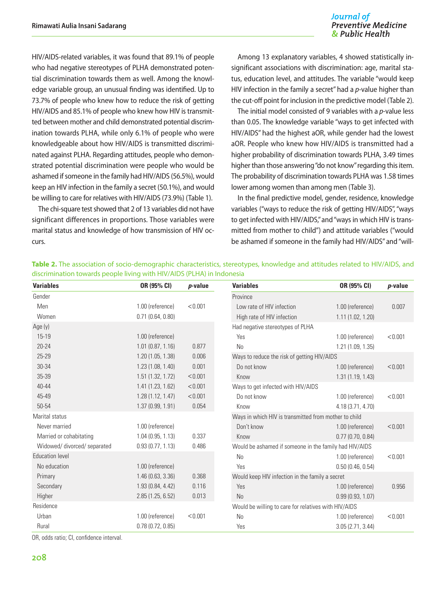#### Journal of **Preventive Medicine** & Public Health

HIV/AIDS-related variables, it was found that 89.1% of people who had negative stereotypes of PLHA demonstrated potential discrimination towards them as well. Among the knowledge variable group, an unusual finding was identified. Up to 73.7% of people who knew how to reduce the risk of getting HIV/AIDS and 85.1% of people who knew how HIV is transmitted between mother and child demonstrated potential discrimination towards PLHA, while only 6.1% of people who were knowledgeable about how HIV/AIDS is transmitted discriminated against PLHA. Regarding attitudes, people who demonstrated potential discrimination were people who would be ashamed if someone in the family had HIV/AIDS (56.5%), would keep an HIV infection in the family a secret (50.1%), and would be willing to care for relatives with HIV/AIDS (73.9%) (Table 1).

The chi-square test showed that 2 of 13 variables did not have significant differences in proportions. Those variables were marital status and knowledge of how transmission of HIV occurs.

Among 13 explanatory variables, 4 showed statistically insignificant associations with discrimination: age, marital status, education level, and attitudes. The variable "would keep HIV infection in the family a secret" had a *p*-value higher than the cut-off point for inclusion in the predictive model (Table 2).

The initial model consisted of 9 variables with a *p*-value less than 0.05. The knowledge variable "ways to get infected with HIV/AIDS" had the highest aOR, while gender had the lowest aOR. People who knew how HIV/AIDS is transmitted had a higher probability of discrimination towards PLHA, 3.49 times higher than those answering "do not know" regarding this item. The probability of discrimination towards PLHA was 1.58 times lower among women than among men (Table 3).

In the final predictive model, gender, residence, knowledge variables ("ways to reduce the risk of getting HIV/AIDS", "ways to get infected with HIV/AIDS," and "ways in which HIV is transmitted from mother to child") and attitude variables ("would be ashamed if someone in the family had HIV/AIDS" and "will-

| <b>Variables</b>             | OR (95% CI)                                           | $p$ -value                                           | <b>Variables</b>                                       | OR (95% CI)       | $p$ -value |
|------------------------------|-------------------------------------------------------|------------------------------------------------------|--------------------------------------------------------|-------------------|------------|
| Gender                       |                                                       |                                                      | Province                                               |                   |            |
| Men                          | 1.00 (reference)                                      | < 0.001                                              | Low rate of HIV infection                              | 1.00 (reference)  | 0.007      |
| Women                        | 0.71(0.64, 0.80)                                      |                                                      | High rate of HIV infection                             | 1.11(1.02, 1.20)  |            |
| Age (y)                      |                                                       |                                                      | Had negative stereotypes of PLHA                       |                   |            |
| 15-19                        | 1.00 (reference)                                      |                                                      | Yes                                                    | 1.00 (reference)  | < 0.001    |
| $20 - 24$                    | 1.01(0.87, 1.16)                                      | 0.877                                                | <b>No</b>                                              | 1.21 (1.09, 1.35) |            |
| 25-29                        | 1.20 (1.05, 1.38)                                     | 0.006                                                | Ways to reduce the risk of getting HIV/AIDS            |                   |            |
| 30-34                        | 1.23(1.08, 1.40)                                      | 0.001                                                | Do not know                                            | 1.00 (reference)  | < 0.001    |
| 35-39                        | 1.51(1.32, 1.72)                                      | < 0.001                                              | Know                                                   | 1.31(1.19, 1.43)  |            |
| $40 - 44$                    | 1.41 (1.23, 1.62)                                     | < 0.001                                              | Ways to get infected with HIV/AIDS                     |                   |            |
| 45-49                        | 1.28(1.12, 1.47)                                      | < 0.001                                              | Do not know                                            | 1.00 (reference)  | < 0.001    |
| 50-54                        | 1.37 (0.99, 1.91)                                     | 0.054                                                | Know                                                   | 4.18 (3.71, 4.70) |            |
| Marital status               | Ways in which HIV is transmitted from mother to child |                                                      |                                                        |                   |            |
| Never married                | 1.00 (reference)                                      |                                                      | Don't know                                             | 1.00 (reference)  | < 0.001    |
| Married or cohabitating      | 1.04(0.95, 1.13)                                      | 0.337                                                | Know                                                   | 0.77(0.70, 0.84)  |            |
| Widowed/ divorced/ separated | 0.93(0.77, 1.13)                                      | 0.486                                                | Would be ashamed if someone in the family had HIV/AIDS |                   |            |
| <b>Education level</b>       |                                                       |                                                      | <b>No</b>                                              | 1.00 (reference)  | < 0.001    |
| No education                 | 1.00 (reference)                                      |                                                      | Yes                                                    | 0.50(0.46, 0.54)  |            |
| Primary                      | 1.46(0.63, 3.36)                                      | 0.368                                                | Would keep HIV infection in the family a secret        |                   |            |
| Secondary                    | 1.93 (0.84, 4.42)                                     | 0.116                                                | Yes                                                    | 1.00 (reference)  | 0.956      |
| Higher                       | 2.85(1.25, 6.52)                                      | 0.013                                                | <b>No</b>                                              | 0.99(0.93, 1.07)  |            |
| Residence                    |                                                       | Would be willing to care for relatives with HIV/AIDS |                                                        |                   |            |
| Urban                        | 1.00 (reference)                                      | < 0.001                                              | <b>No</b>                                              | 1.00 (reference)  | < 0.001    |
| Rural                        | 0.78(0.72, 0.85)                                      |                                                      | Yes                                                    | 3.05(2.71, 3.44)  |            |

**Table 2.** The association of socio-demographic characteristics, stereotypes, knowledge and attitudes related to HIV/AIDS, and discrimination towards people living with HIV/AIDS (PLHA) in Indonesia

OR, odds ratio; CI, confidence interval.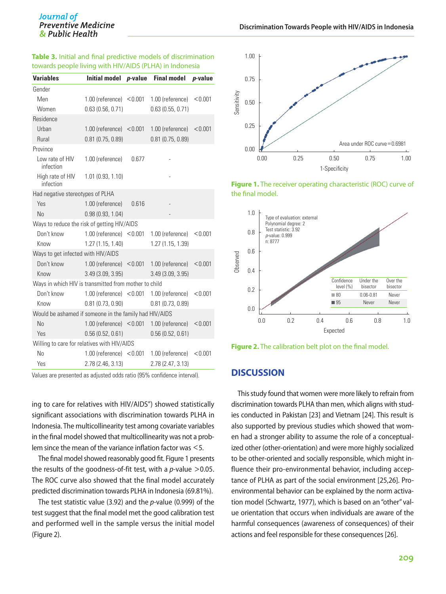#### **Table 3.** Initial and final predictive models of discrimination towards people living with HIV/AIDS (PLHA) in Indonesia

| <b>Variables</b>                                       | Initial model p-value        |       | <b>Final model</b>  | $p$ -value |  |  |  |
|--------------------------------------------------------|------------------------------|-------|---------------------|------------|--|--|--|
| Gender                                                 |                              |       |                     |            |  |  |  |
| Men                                                    | $1.00$ (reference) $< 0.001$ |       | 1.00 (reference)    | < 0.001    |  |  |  |
| Women                                                  | 0.63(0.56, 0.71)             |       | 0.63(0.55, 0.71)    |            |  |  |  |
| Residence                                              |                              |       |                     |            |  |  |  |
| Urban                                                  | $1.00$ (reference) $< 0.001$ |       | 1.00 (reference)    | < 0.001    |  |  |  |
| Rural                                                  | $0.81$ (0.75, 0.89)          |       | $0.81$ (0.75, 0.89) |            |  |  |  |
| Province                                               |                              |       |                     |            |  |  |  |
| Low rate of HIV<br>infection                           | 1.00 (reference)             | 0.677 |                     |            |  |  |  |
| High rate of HIV<br>infection                          | 1.01(0.93, 1.10)             |       |                     |            |  |  |  |
| Had negative stereotypes of PLHA                       |                              |       |                     |            |  |  |  |
| Yes                                                    | 1.00 (reference)             | 0.616 |                     |            |  |  |  |
| No                                                     | 0.98(0.93, 1.04)             |       |                     |            |  |  |  |
| Ways to reduce the risk of getting HIV/AIDS            |                              |       |                     |            |  |  |  |
| Don't know                                             | 1.00 (reference) $< 0.001$   |       | 1.00 (reference)    | < 0.001    |  |  |  |
| Know                                                   | 1.27(1.15, 1.40)             |       | 1.27 (1.15, 1.39)   |            |  |  |  |
| Ways to get infected with HIV/AIDS                     |                              |       |                     |            |  |  |  |
| Don't know                                             | 1.00 (reference) $< 0.001$   |       | 1.00 (reference)    | < 0.001    |  |  |  |
| Know                                                   | 3.49(3.09, 3.95)             |       | 3.49(3.09, 3.95)    |            |  |  |  |
| Ways in which HIV is transmitted from mother to child  |                              |       |                     |            |  |  |  |
| Don't know                                             | $1.00$ (reference) $< 0.001$ |       | 1.00 (reference)    | < 0.001    |  |  |  |
| Know                                                   | 0.81(0.73, 0.90)             |       | $0.81$ (0.73, 0.89) |            |  |  |  |
| Would be ashamed if someone in the family had HIV/AIDS |                              |       |                     |            |  |  |  |
| No                                                     | $1.00$ (reference) < $0.001$ |       | 1.00 (reference)    | < 0.001    |  |  |  |
| Yes                                                    | 0.56(0.52, 0.61)             |       | 0.56(0.52, 0.61)    |            |  |  |  |
| Willing to care for relatives with HIV/AIDS            |                              |       |                     |            |  |  |  |
| No                                                     | $1.00$ (reference) $< 0.001$ |       | 1.00 (reference)    | < 0.001    |  |  |  |
| Yes                                                    | 2.78 (2.46, 3.13)            |       | 2.78 (2.47, 3.13)   |            |  |  |  |

Values are presented as adjusted odds ratio (95% confidence interval).

ing to care for relatives with HIV/AIDS") showed statistically significant associations with discrimination towards PLHA in Indonesia. The multicollinearity test among covariate variables in the final model showed that multicollinearity was not a problem since the mean of the variance inflation factor was <5.

The final model showed reasonably good fit. Figure 1 presents the results of the goodness-of-fit test, with a *p*-value >0.05. The ROC curve also showed that the final model accurately predicted discrimination towards PLHA in Indonesia (69.81%).

The test statistic value (3.92) and the *p*-value (0.999) of the test suggest that the final model met the good calibration test and performed well in the sample versus the initial model (Figure 2).



**Figure 1.** The receiver operating characteristic (ROC) curve of the final model.



**Figure 2.** The calibration belt plot on the final model.

#### **DISCUSSION**

This study found that women were more likely to refrain from discrimination towards PLHA than men, which aligns with studies conducted in Pakistan [23] and Vietnam [24]. This result is also supported by previous studies which showed that women had a stronger ability to assume the role of a conceptualized other (other-orientation) and were more highly socialized to be other-oriented and socially responsible, which might influence their pro-environmental behavior, including acceptance of PLHA as part of the social environment [25,26]. Proenvironmental behavior can be explained by the norm activation model (Schwartz, 1977), which is based on an "other" value orientation that occurs when individuals are aware of the harmful consequences (awareness of consequences) of their actions and feel responsible for these consequences [26].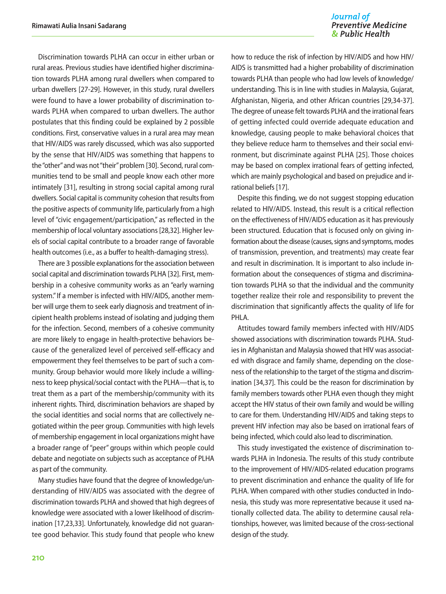Discrimination towards PLHA can occur in either urban or rural areas. Previous studies have identified higher discrimination towards PLHA among rural dwellers when compared to urban dwellers [27-29]. However, in this study, rural dwellers were found to have a lower probability of discrimination towards PLHA when compared to urban dwellers. The author postulates that this finding could be explained by 2 possible conditions. First, conservative values in a rural area may mean that HIV/AIDS was rarely discussed, which was also supported by the sense that HIV/AIDS was something that happens to the "other" and was not "their" problem [30]. Second, rural communities tend to be small and people know each other more intimately [31], resulting in strong social capital among rural dwellers. Social capital is community cohesion that results from the positive aspects of community life, particularly from a high level of "civic engagement/participation," as reflected in the membership of local voluntary associations [28,32]. Higher levels of social capital contribute to a broader range of favorable health outcomes (i.e., as a buffer to health-damaging stress).

There are 3 possible explanations for the association between social capital and discrimination towards PLHA [32]. First, membership in a cohesive community works as an "early warning system." If a member is infected with HIV/AIDS, another member will urge them to seek early diagnosis and treatment of incipient health problems instead of isolating and judging them for the infection. Second, members of a cohesive community are more likely to engage in health-protective behaviors because of the generalized level of perceived self-efficacy and empowerment they feel themselves to be part of such a community. Group behavior would more likely include a willingness to keep physical/social contact with the PLHA—that is, to treat them as a part of the membership/community with its inherent rights. Third, discrimination behaviors are shaped by the social identities and social norms that are collectively negotiated within the peer group. Communities with high levels of membership engagement in local organizations might have a broader range of "peer" groups within which people could debate and negotiate on subjects such as acceptance of PLHA as part of the community.

Many studies have found that the degree of knowledge/understanding of HIV/AIDS was associated with the degree of discrimination towards PLHA and showed that high degrees of knowledge were associated with a lower likelihood of discrimination [17,23,33]. Unfortunately, knowledge did not guarantee good behavior. This study found that people who knew

#### Journal of **Preventive Medicine** & Public Health

how to reduce the risk of infection by HIV/AIDS and how HIV/ AIDS is transmitted had a higher probability of discrimination towards PLHA than people who had low levels of knowledge/ understanding. This is in line with studies in Malaysia, Gujarat, Afghanistan, Nigeria, and other African countries [29,34-37]. The degree of unease felt towards PLHA and the irrational fears of getting infected could override adequate education and knowledge, causing people to make behavioral choices that they believe reduce harm to themselves and their social environment, but discriminate against PLHA [25]. Those choices may be based on complex irrational fears of getting infected, which are mainly psychological and based on prejudice and irrational beliefs [17].

Despite this finding, we do not suggest stopping education related to HIV/AIDS. Instead, this result is a critical reflection on the effectiveness of HIV/AIDS education as it has previously been structured. Education that is focused only on giving information about the disease (causes, signs and symptoms, modes of transmission, prevention, and treatments) may create fear and result in discrimination. It is important to also include information about the consequences of stigma and discrimination towards PLHA so that the individual and the community together realize their role and responsibility to prevent the discrimination that significantly affects the quality of life for PHI A.

Attitudes toward family members infected with HIV/AIDS showed associations with discrimination towards PLHA. Studies in Afghanistan and Malaysia showed that HIV was associated with disgrace and family shame, depending on the closeness of the relationship to the target of the stigma and discrimination [34,37]. This could be the reason for discrimination by family members towards other PLHA even though they might accept the HIV status of their own family and would be willing to care for them. Understanding HIV/AIDS and taking steps to prevent HIV infection may also be based on irrational fears of being infected, which could also lead to discrimination.

This study investigated the existence of discrimination towards PLHA in Indonesia. The results of this study contribute to the improvement of HIV/AIDS-related education programs to prevent discrimination and enhance the quality of life for PLHA. When compared with other studies conducted in Indonesia, this study was more representative because it used nationally collected data. The ability to determine causal relationships, however, was limited because of the cross-sectional design of the study.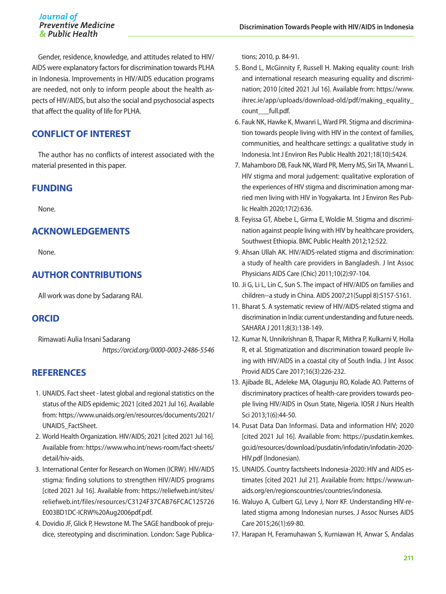Gender, residence, knowledge, and attitudes related to HIV/ AIDS were explanatory factors for discrimination towards PLHA in Indonesia. Improvements in HIV/AIDS education programs are needed, not only to inform people about the health aspects of HIV/AIDS, but also the social and psychosocial aspects that affect the quality of life for PLHA.

# **CONFLICT OF INTEREST**

The author has no conflicts of interest associated with the material presented in this paper.

## **FUNDING**

None.

# **ACKNOWLEDGEMENTS**

None.

# **AUTHOR CONTRIBUTIONS**

All work was done by Sadarang RAI.

# **ORCID**

Rimawati Aulia Insani Sadarang *https://orcid.org/0000-0003-2486-5546*

# **REFERENCES**

- 1. UNAIDS. Fact sheet latest global and regional statistics on the status of the AIDS epidemic; 2021 [cited 2021 Jul 16]. Available from: [https://www.unaids.org/en/resources/documents/2021/](https://www.unaids.org/en/resources/documents/2021/UNAIDS_FactSheet) [UNAIDS\\_FactSheet.](https://www.unaids.org/en/resources/documents/2021/UNAIDS_FactSheet)
- 2. World Health Organization. HIV/AIDS; 2021 [cited 2021 Jul 16]. Available from: [https://www.who.int/news-room/fact-sheets/](https://www.who.int/news-room/fact-sheets/detail/hiv-aids) [detail/hiv-aids](https://www.who.int/news-room/fact-sheets/detail/hiv-aids).
- 3. International Center for Research on Women (ICRW). HIV/AIDS stigma: finding solutions to strengthen HIV/AIDS programs [cited 2021 Jul 16]. Available from: [https://reliefweb.int/sites/](https://reliefweb.int/sites/reliefweb.int/files/resources/C3124F37CAB76FCAC125726E003BD1DC-ICRW%20Aug2006pdf.pdf) [reliefweb.int/files/resources/C3124F37CAB76FCAC125726](https://reliefweb.int/sites/reliefweb.int/files/resources/C3124F37CAB76FCAC125726E003BD1DC-ICRW%20Aug2006pdf.pdf) [E003BD1DC-ICRW%20Aug2006pdf.pdf.](https://reliefweb.int/sites/reliefweb.int/files/resources/C3124F37CAB76FCAC125726E003BD1DC-ICRW%20Aug2006pdf.pdf)
- 4. Dovidio JF, Glick P, Hewstone M. The SAGE handbook of prejudice, stereotyping and discrimination. London: Sage Publica-

tions; 2010, p. 84-91.

- 5. Bond L, McGinnity F, Russell H. Making equality count: Irish and international research measuring equality and discrimination; 2010 [cited 2021 Jul 16]. Available from: [https://www.](https://www.ihrec.ie/app/uploads/download-old/pdf/making_equality_count___full.pdf) [ihrec.ie/app/uploads/download-old/pdf/making\\_equality\\_](https://www.ihrec.ie/app/uploads/download-old/pdf/making_equality_count___full.pdf) [count\\_\\_\\_full.pdf.](https://www.ihrec.ie/app/uploads/download-old/pdf/making_equality_count___full.pdf)
- 6. Fauk NK, Hawke K, Mwanri L, Ward PR. Stigma and discrimination towards people living with HIV in the context of families, communities, and healthcare settings: a qualitative study in Indonesia. Int J Environ Res Public Health 2021;18(10):5424.
- 7. Mahamboro DB, Fauk NK, Ward PR, Merry MS, Siri TA, Mwanri L. HIV stigma and moral judgement: qualitative exploration of the experiences of HIV stigma and discrimination among married men living with HIV in Yogyakarta. Int J Environ Res Public Health 2020;17(2):636.
- 8. Feyissa GT, Abebe L, Girma E, Woldie M. Stigma and discrimination against people living with HIV by healthcare providers, Southwest Ethiopia. BMC Public Health 2012;12:522.
- 9. Ahsan Ullah AK. HIV/AIDS-related stigma and discrimination: a study of health care providers in Bangladesh. J Int Assoc Physicians AIDS Care (Chic) 2011;10(2):97-104.
- 10. Ji G, Li L, Lin C, Sun S. The impact of HIV/AIDS on families and children--a study in China. AIDS 2007;21(Suppl 8):S157-S161.
- 11. Bharat S. A systematic review of HIV/AIDS-related stigma and discrimination in India: current understanding and future needs. SAHARA J 2011;8(3):138-149.
- 12. Kumar N, Unnikrishnan B, Thapar R, Mithra P, Kulkarni V, Holla R, et al. Stigmatization and discrimination toward people living with HIV/AIDS in a coastal city of South India. J Int Assoc Provid AIDS Care 2017;16(3):226-232.
- 13. Ajibade BL, Adeleke MA, Olagunju RO, Kolade AO. Patterns of discriminatory practices of health-care providers towards people living HIV/AIDS in Osun State, Nigeria. IOSR J Nurs Health Sci 2013;1(6):44-50.
- 14. Pusat Data Dan Informasi. Data and information HIV; 2020 [cited 2021 Jul 16]. Available from: [https://pusdatin.kemkes.](https://pusdatin.kemkes.go.id/resources/download/pusdatin/infodatin/infodatin-2020-HIV.pdf) [go.id/resources/download/pusdatin/infodatin/infodatin-2020-](https://pusdatin.kemkes.go.id/resources/download/pusdatin/infodatin/infodatin-2020-HIV.pdf) [HIV.pdf](https://pusdatin.kemkes.go.id/resources/download/pusdatin/infodatin/infodatin-2020-HIV.pdf) (Indonesian).
- 15. UNAIDS. Country factsheets Indonesia-2020: HIV and AIDS estimates [cited 2021 Jul 21]. Available from: [https://www.un](https://www.unaids.org/en/regionscountries/countries/indonesia)[aids.org/en/regionscountries/countries/indonesia.](https://www.unaids.org/en/regionscountries/countries/indonesia)
- 16. Waluyo A, Culbert GJ, Levy J, Norr KF. Understanding HIV-related stigma among Indonesian nurses. J Assoc Nurses AIDS Care 2015;26(1):69-80.
- 17. Harapan H, Feramuhawan S, Kurniawan H, Anwar S, Andalas